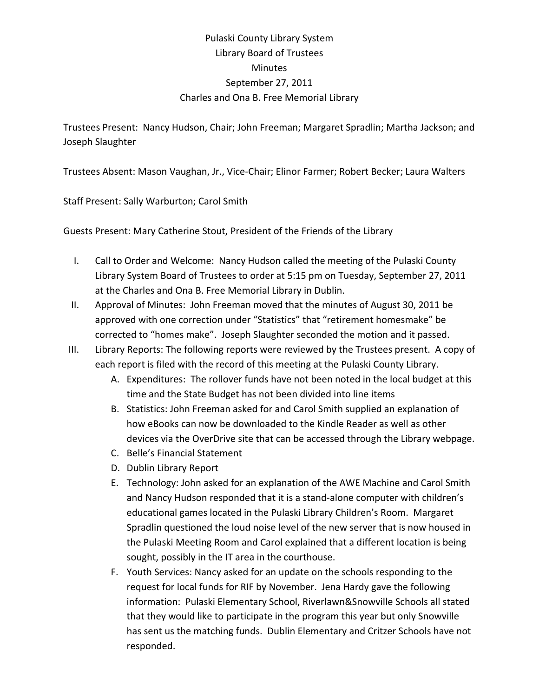## Pulaski County Library System Library Board of Trustees Minutes September 27, 2011 Charles and Ona B. Free Memorial Library

Trustees Present: Nancy Hudson, Chair; John Freeman; Margaret Spradlin; Martha Jackson; and Joseph Slaughter

Trustees Absent: Mason Vaughan, Jr., Vice‐Chair; Elinor Farmer; Robert Becker; Laura Walters

Staff Present: Sally Warburton; Carol Smith

Guests Present: Mary Catherine Stout, President of the Friends of the Library

- I. Call to Order and Welcome: Nancy Hudson called the meeting of the Pulaski County Library System Board of Trustees to order at 5:15 pm on Tuesday, September 27, 2011 at the Charles and Ona B. Free Memorial Library in Dublin.
- II. Approval of Minutes: John Freeman moved that the minutes of August 30, 2011 be approved with one correction under "Statistics" that "retirement homesmake" be corrected to "homes make". Joseph Slaughter seconded the motion and it passed.
- III. Library Reports: The following reports were reviewed by the Trustees present. A copy of each report is filed with the record of this meeting at the Pulaski County Library.
	- A. Expenditures: The rollover funds have not been noted in the local budget at this time and the State Budget has not been divided into line items
	- B. Statistics: John Freeman asked for and Carol Smith supplied an explanation of how eBooks can now be downloaded to the Kindle Reader as well as other devices via the OverDrive site that can be accessed through the Library webpage.
	- C. Belle's Financial Statement
	- D. Dublin Library Report
	- E. Technology: John asked for an explanation of the AWE Machine and Carol Smith and Nancy Hudson responded that it is a stand‐alone computer with children's educational games located in the Pulaski Library Children's Room. Margaret Spradlin questioned the loud noise level of the new server that is now housed in the Pulaski Meeting Room and Carol explained that a different location is being sought, possibly in the IT area in the courthouse.
	- F. Youth Services: Nancy asked for an update on the schools responding to the request for local funds for RIF by November. Jena Hardy gave the following information: Pulaski Elementary School, Riverlawn&Snowville Schools all stated that they would like to participate in the program this year but only Snowville has sent us the matching funds. Dublin Elementary and Critzer Schools have not responded.